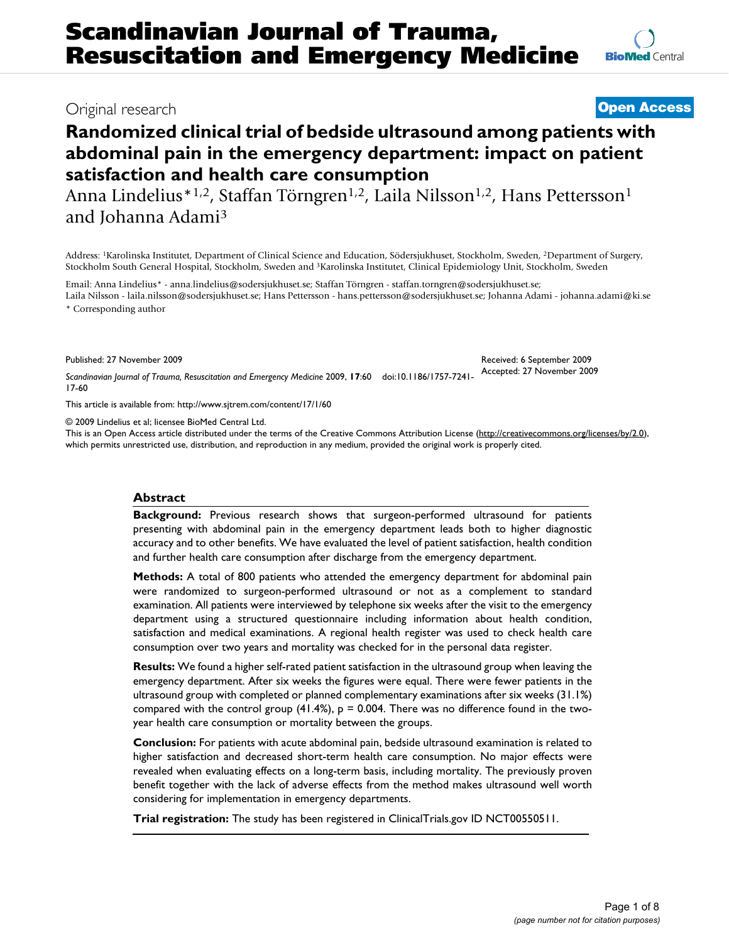## Original research **[Open Access](http://www.biomedcentral.com/info/about/charter/)**

# **Randomized clinical trial of bedside ultrasound among patients with abdominal pain in the emergency department: impact on patient satisfaction and health care consumption**

Anna Lindelius<sup>\*1,2</sup>, Staffan Törngren<sup>1,2</sup>, Laila Nilsson<sup>1,2</sup>, Hans Pettersson<sup>1</sup> and Johanna Adami3

Address: 1Karolinska Institutet, Department of Clinical Science and Education, Södersjukhuset, Stockholm, Sweden, 2Department of Surgery, Stockholm South General Hospital, Stockholm, Sweden and 3Karolinska Institutet, Clinical Epidemiology Unit, Stockholm, Sweden

Email: Anna Lindelius\* - anna.lindelius@sodersjukhuset.se; Staffan Törngren - staffan.torngren@sodersjukhuset.se; Laila Nilsson - laila.nilsson@sodersjukhuset.se; Hans Pettersson - hans.pettersson@sodersjukhuset.se; Johanna Adami - johanna.adami@ki.se \* Corresponding author

Published: 27 November 2009

*Scandinavian Journal of Trauma, Resuscitation and Emergency Medicine* 2009, **17**:60 doi:10.1186/1757-7241- Accepted: 27 November 2009 17-60

[This article is available from: http://www.sjtrem.com/content/17/1/60](http://www.sjtrem.com/content/17/1/60)

© 2009 Lindelius et al; licensee BioMed Central Ltd.

This is an Open Access article distributed under the terms of the Creative Commons Attribution License [\(http://creativecommons.org/licenses/by/2.0\)](http://creativecommons.org/licenses/by/2.0), which permits unrestricted use, distribution, and reproduction in any medium, provided the original work is properly cited.

#### **Abstract**

**Background:** Previous research shows that surgeon-performed ultrasound for patients presenting with abdominal pain in the emergency department leads both to higher diagnostic accuracy and to other benefits. We have evaluated the level of patient satisfaction, health condition and further health care consumption after discharge from the emergency department.

**Methods:** A total of 800 patients who attended the emergency department for abdominal pain were randomized to surgeon-performed ultrasound or not as a complement to standard examination. All patients were interviewed by telephone six weeks after the visit to the emergency department using a structured questionnaire including information about health condition, satisfaction and medical examinations. A regional health register was used to check health care consumption over two years and mortality was checked for in the personal data register.

**Results:** We found a higher self-rated patient satisfaction in the ultrasound group when leaving the emergency department. After six weeks the figures were equal. There were fewer patients in the ultrasound group with completed or planned complementary examinations after six weeks (31.1%) compared with the control group  $(41.4\%)$ ,  $p = 0.004$ . There was no difference found in the twoyear health care consumption or mortality between the groups.

**Conclusion:** For patients with acute abdominal pain, bedside ultrasound examination is related to higher satisfaction and decreased short-term health care consumption. No major effects were revealed when evaluating effects on a long-term basis, including mortality. The previously proven benefit together with the lack of adverse effects from the method makes ultrasound well worth considering for implementation in emergency departments.

**Trial registration:** The study has been registered in ClinicalTrials.gov ID NCT00550511.

Received: 6 September 2009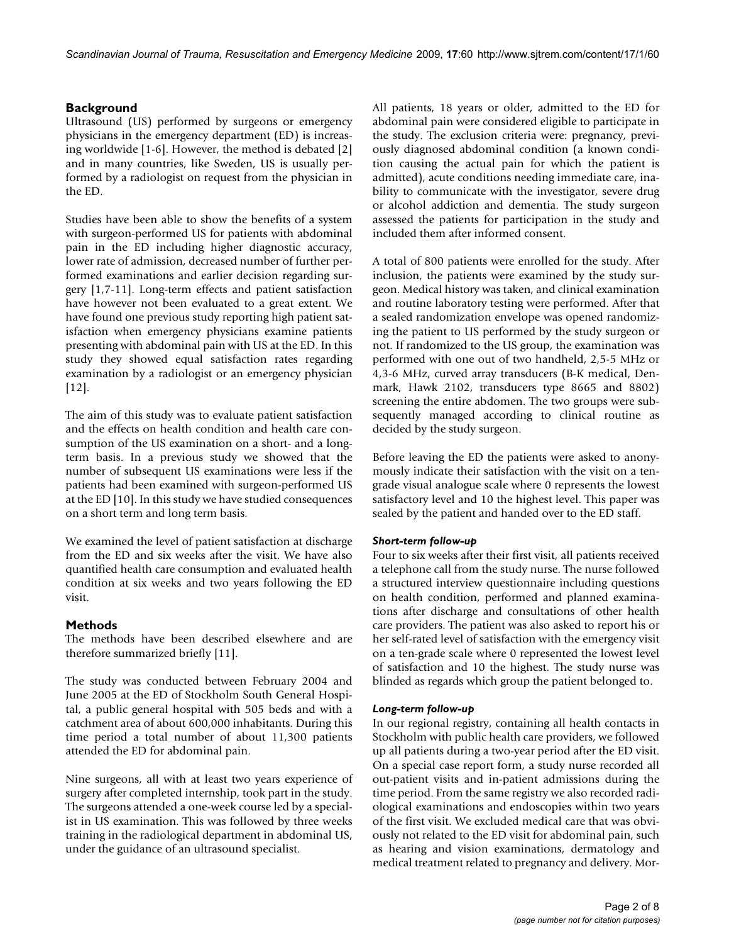### **Background**

Ultrasound (US) performed by surgeons or emergency physicians in the emergency department (ED) is increasing worldwide [1-6]. However, the method is debated [2] and in many countries, like Sweden, US is usually performed by a radiologist on request from the physician in the ED.

Studies have been able to show the benefits of a system with surgeon-performed US for patients with abdominal pain in the ED including higher diagnostic accuracy, lower rate of admission, decreased number of further performed examinations and earlier decision regarding surgery [1,7-11]. Long-term effects and patient satisfaction have however not been evaluated to a great extent. We have found one previous study reporting high patient satisfaction when emergency physicians examine patients presenting with abdominal pain with US at the ED. In this study they showed equal satisfaction rates regarding examination by a radiologist or an emergency physician  $[12]$ .

The aim of this study was to evaluate patient satisfaction and the effects on health condition and health care consumption of the US examination on a short- and a longterm basis. In a previous study we showed that the number of subsequent US examinations were less if the patients had been examined with surgeon-performed US at the ED [10]. In this study we have studied consequences on a short term and long term basis.

We examined the level of patient satisfaction at discharge from the ED and six weeks after the visit. We have also quantified health care consumption and evaluated health condition at six weeks and two years following the ED visit.

#### **Methods**

The methods have been described elsewhere and are therefore summarized briefly [11].

The study was conducted between February 2004 and June 2005 at the ED of Stockholm South General Hospital, a public general hospital with 505 beds and with a catchment area of about 600,000 inhabitants. During this time period a total number of about 11,300 patients attended the ED for abdominal pain.

Nine surgeons, all with at least two years experience of surgery after completed internship, took part in the study. The surgeons attended a one-week course led by a specialist in US examination. This was followed by three weeks training in the radiological department in abdominal US, under the guidance of an ultrasound specialist.

All patients, 18 years or older, admitted to the ED for abdominal pain were considered eligible to participate in the study. The exclusion criteria were: pregnancy, previously diagnosed abdominal condition (a known condition causing the actual pain for which the patient is admitted), acute conditions needing immediate care, inability to communicate with the investigator, severe drug or alcohol addiction and dementia. The study surgeon assessed the patients for participation in the study and included them after informed consent.

A total of 800 patients were enrolled for the study. After inclusion, the patients were examined by the study surgeon. Medical history was taken, and clinical examination and routine laboratory testing were performed. After that a sealed randomization envelope was opened randomizing the patient to US performed by the study surgeon or not. If randomized to the US group, the examination was performed with one out of two handheld, 2,5-5 MHz or 4,3-6 MHz, curved array transducers (B-K medical, Denmark, Hawk 2102, transducers type 8665 and 8802) screening the entire abdomen. The two groups were subsequently managed according to clinical routine as decided by the study surgeon.

Before leaving the ED the patients were asked to anonymously indicate their satisfaction with the visit on a tengrade visual analogue scale where 0 represents the lowest satisfactory level and 10 the highest level. This paper was sealed by the patient and handed over to the ED staff.

#### *Short-term follow-up*

Four to six weeks after their first visit, all patients received a telephone call from the study nurse. The nurse followed a structured interview questionnaire including questions on health condition, performed and planned examinations after discharge and consultations of other health care providers. The patient was also asked to report his or her self-rated level of satisfaction with the emergency visit on a ten-grade scale where 0 represented the lowest level of satisfaction and 10 the highest. The study nurse was blinded as regards which group the patient belonged to.

#### *Long-term follow-up*

In our regional registry, containing all health contacts in Stockholm with public health care providers, we followed up all patients during a two-year period after the ED visit. On a special case report form, a study nurse recorded all out-patient visits and in-patient admissions during the time period. From the same registry we also recorded radiological examinations and endoscopies within two years of the first visit. We excluded medical care that was obviously not related to the ED visit for abdominal pain, such as hearing and vision examinations, dermatology and medical treatment related to pregnancy and delivery. Mor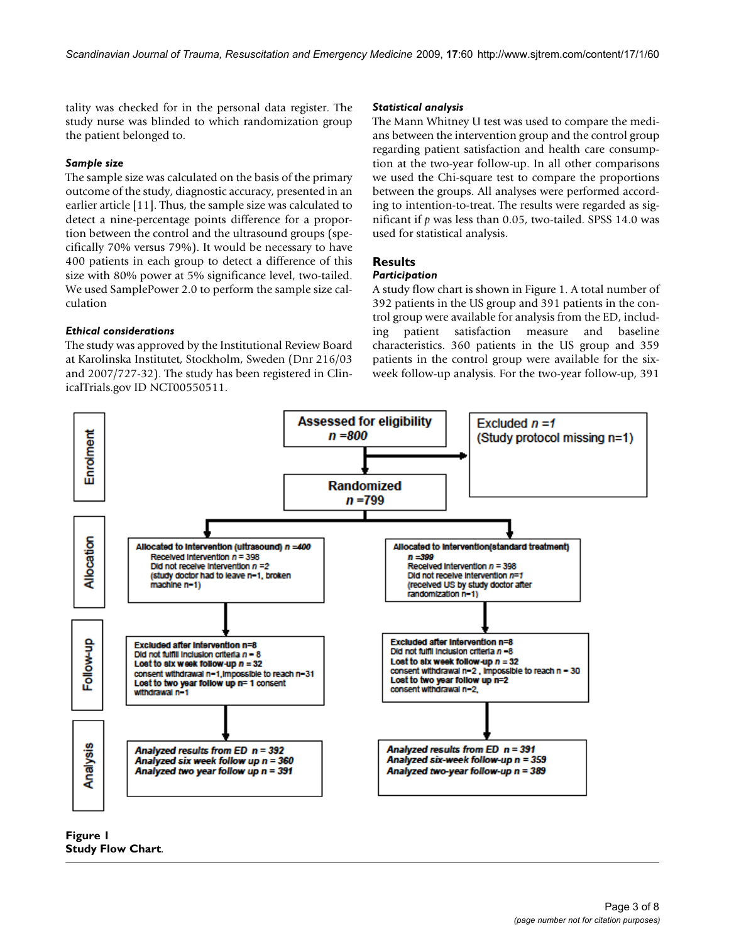tality was checked for in the personal data register. The study nurse was blinded to which randomization group the patient belonged to.

#### *Sample size*

The sample size was calculated on the basis of the primary outcome of the study, diagnostic accuracy, presented in an earlier article [11]. Thus, the sample size was calculated to detect a nine-percentage points difference for a proportion between the control and the ultrasound groups (specifically 70% versus 79%). It would be necessary to have 400 patients in each group to detect a difference of this size with 80% power at 5% significance level, two-tailed. We used SamplePower 2.0 to perform the sample size calculation

#### *Ethical considerations*

The study was approved by the Institutional Review Board at Karolinska Institutet, Stockholm, Sweden (Dnr 216/03 and 2007/727-32). The study has been registered in ClinicalTrials.gov ID NCT00550511.

#### *Statistical analysis*

The Mann Whitney U test was used to compare the medians between the intervention group and the control group regarding patient satisfaction and health care consumption at the two-year follow-up. In all other comparisons we used the Chi-square test to compare the proportions between the groups. All analyses were performed according to intention-to-treat. The results were regarded as significant if *p* was less than 0.05, two-tailed. SPSS 14.0 was used for statistical analysis.

#### **Results**

#### *Participation*

A study flow chart is shown in Figure 1. A total number of 392 patients in the US group and 391 patients in the control group were available for analysis from the ED, including patient satisfaction measure and baseline characteristics. 360 patients in the US group and 359 patients in the control group were available for the sixweek follow-up analysis. For the two-year follow-up, 391



**Figure 1 Study Flow Chart**.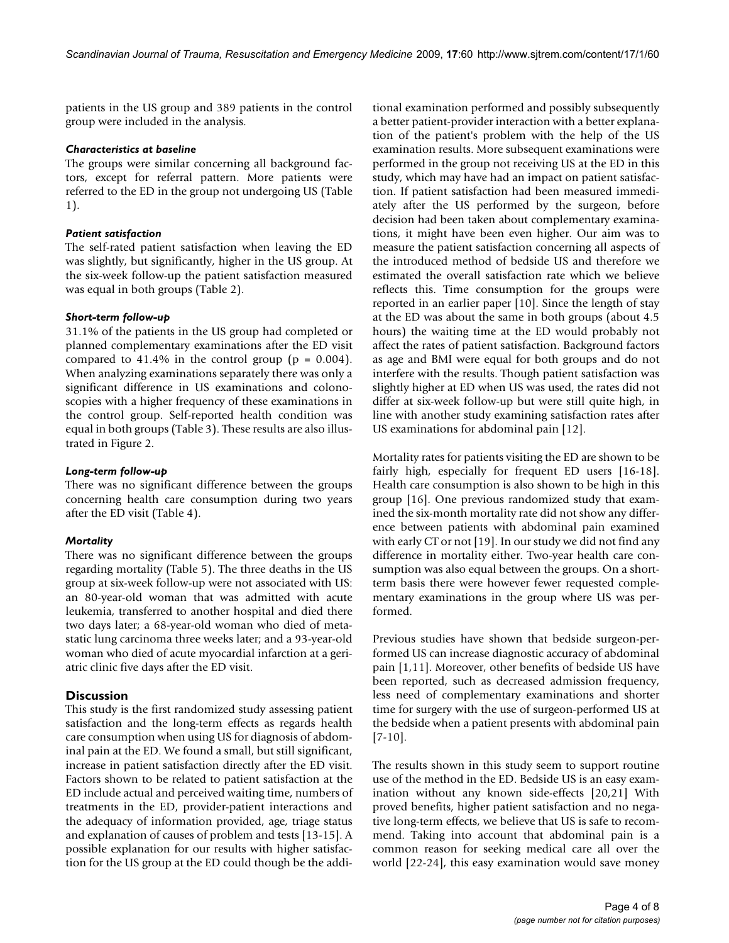patients in the US group and 389 patients in the control group were included in the analysis.

#### *Characteristics at baseline*

The groups were similar concerning all background factors, except for referral pattern. More patients were referred to the ED in the group not undergoing US (Table 1).

#### *Patient satisfaction*

The self-rated patient satisfaction when leaving the ED was slightly, but significantly, higher in the US group. At the six-week follow-up the patient satisfaction measured was equal in both groups (Table 2).

#### *Short-term follow-up*

31.1% of the patients in the US group had completed or planned complementary examinations after the ED visit compared to  $41.4\%$  in the control group ( $p = 0.004$ ). When analyzing examinations separately there was only a significant difference in US examinations and colonoscopies with a higher frequency of these examinations in the control group. Self-reported health condition was equal in both groups (Table 3). These results are also illustrated in Figure 2.

#### *Long-term follow-up*

There was no significant difference between the groups concerning health care consumption during two years after the ED visit (Table 4).

#### *Mortality*

There was no significant difference between the groups regarding mortality (Table 5). The three deaths in the US group at six-week follow-up were not associated with US: an 80-year-old woman that was admitted with acute leukemia, transferred to another hospital and died there two days later; a 68-year-old woman who died of metastatic lung carcinoma three weeks later; and a 93-year-old woman who died of acute myocardial infarction at a geriatric clinic five days after the ED visit.

#### **Discussion**

This study is the first randomized study assessing patient satisfaction and the long-term effects as regards health care consumption when using US for diagnosis of abdominal pain at the ED. We found a small, but still significant, increase in patient satisfaction directly after the ED visit. Factors shown to be related to patient satisfaction at the ED include actual and perceived waiting time, numbers of treatments in the ED, provider-patient interactions and the adequacy of information provided, age, triage status and explanation of causes of problem and tests [13-15]. A possible explanation for our results with higher satisfaction for the US group at the ED could though be the additional examination performed and possibly subsequently a better patient-provider interaction with a better explanation of the patient's problem with the help of the US examination results. More subsequent examinations were performed in the group not receiving US at the ED in this study, which may have had an impact on patient satisfaction. If patient satisfaction had been measured immediately after the US performed by the surgeon, before decision had been taken about complementary examinations, it might have been even higher. Our aim was to measure the patient satisfaction concerning all aspects of the introduced method of bedside US and therefore we estimated the overall satisfaction rate which we believe reflects this. Time consumption for the groups were reported in an earlier paper [10]. Since the length of stay at the ED was about the same in both groups (about 4.5 hours) the waiting time at the ED would probably not affect the rates of patient satisfaction. Background factors as age and BMI were equal for both groups and do not interfere with the results. Though patient satisfaction was slightly higher at ED when US was used, the rates did not differ at six-week follow-up but were still quite high, in line with another study examining satisfaction rates after US examinations for abdominal pain [12].

Mortality rates for patients visiting the ED are shown to be fairly high, especially for frequent ED users [16-18]. Health care consumption is also shown to be high in this group [16]. One previous randomized study that examined the six-month mortality rate did not show any difference between patients with abdominal pain examined with early CT or not [19]. In our study we did not find any difference in mortality either. Two-year health care consumption was also equal between the groups. On a shortterm basis there were however fewer requested complementary examinations in the group where US was performed.

Previous studies have shown that bedside surgeon-performed US can increase diagnostic accuracy of abdominal pain [1,11]. Moreover, other benefits of bedside US have been reported, such as decreased admission frequency, less need of complementary examinations and shorter time for surgery with the use of surgeon-performed US at the bedside when a patient presents with abdominal pain [7-10].

The results shown in this study seem to support routine use of the method in the ED. Bedside US is an easy examination without any known side-effects [20,21] With proved benefits, higher patient satisfaction and no negative long-term effects, we believe that US is safe to recommend. Taking into account that abdominal pain is a common reason for seeking medical care all over the world [22-24], this easy examination would save money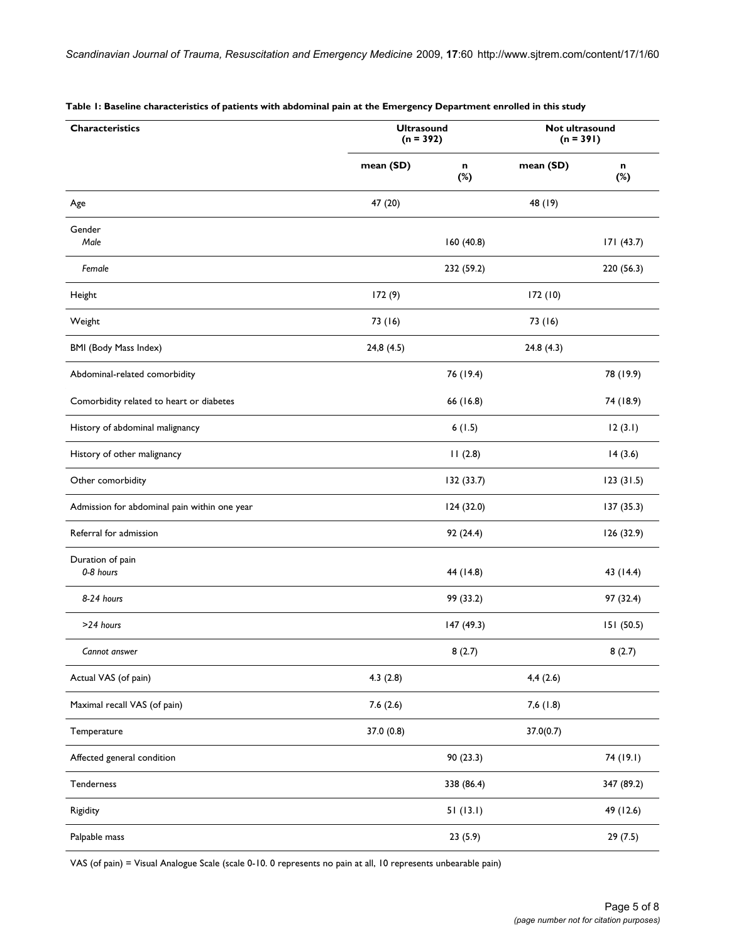| Characteristics                              | <b>Ultrasound</b><br>$(n = 392)$ |            | Not ultrasound<br>$(n = 391)$ |            |  |
|----------------------------------------------|----------------------------------|------------|-------------------------------|------------|--|
|                                              | mean (SD)                        | n<br>$(*)$ | mean (SD)                     | n<br>$(*)$ |  |
| Age                                          | 47 (20)                          |            | 48 (19)                       |            |  |
| Gender<br>Male                               |                                  | 160 (40.8) |                               | 171(43.7)  |  |
| Female                                       |                                  | 232 (59.2) |                               | 220 (56.3) |  |
| Height                                       | 172 (9)                          |            | 172(10)                       |            |  |
| Weight                                       | 73 (16)                          |            | 73 (16)                       |            |  |
| <b>BMI (Body Mass Index)</b>                 | 24,8 (4.5)                       |            | 24.8(4.3)                     |            |  |
| Abdominal-related comorbidity                |                                  | 76 (19.4)  |                               | 78 (19.9)  |  |
| Comorbidity related to heart or diabetes     |                                  | 66 (16.8)  |                               | 74 (18.9)  |  |
| History of abdominal malignancy              |                                  | 6(1.5)     |                               | 12(3.1)    |  |
| History of other malignancy                  |                                  | 11(2.8)    |                               | 14(3.6)    |  |
| Other comorbidity                            |                                  | 132 (33.7) |                               | 123(31.5)  |  |
| Admission for abdominal pain within one year |                                  | 124 (32.0) |                               | 137 (35.3) |  |
| Referral for admission                       |                                  | 92(24.4)   |                               | 126 (32.9) |  |
| Duration of pain<br>0-8 hours                |                                  | 44 (14.8)  |                               | 43 (14.4)  |  |
| 8-24 hours                                   |                                  | 99 (33.2)  |                               | 97 (32.4)  |  |
| >24 hours                                    |                                  | 147 (49.3) |                               | 151 (50.5) |  |
| Cannot answer                                |                                  | 8(2.7)     |                               | 8(2.7)     |  |
| Actual VAS (of pain)                         | 4.3(2.8)                         |            | 4,4(2.6)                      |            |  |
| Maximal recall VAS (of pain)                 | 7.6(2.6)                         |            | 7,6(1.8)                      |            |  |
| Temperature                                  | 37.0 (0.8)                       |            | 37.0(0.7)                     |            |  |
| Affected general condition                   |                                  | 90(23.3)   |                               | 74 (19.1)  |  |
| Tenderness                                   |                                  | 338 (86.4) |                               | 347 (89.2) |  |
| Rigidity                                     |                                  | 51(13.1)   |                               | 49 (12.6)  |  |
| Palpable mass                                |                                  | 23(5.9)    |                               | 29(7.5)    |  |

#### **Table 1: Baseline characteristics of patients with abdominal pain at the Emergency Department enrolled in this study**

VAS (of pain) = Visual Analogue Scale (scale 0-10. 0 represents no pain at all, 10 represents unbearable pain)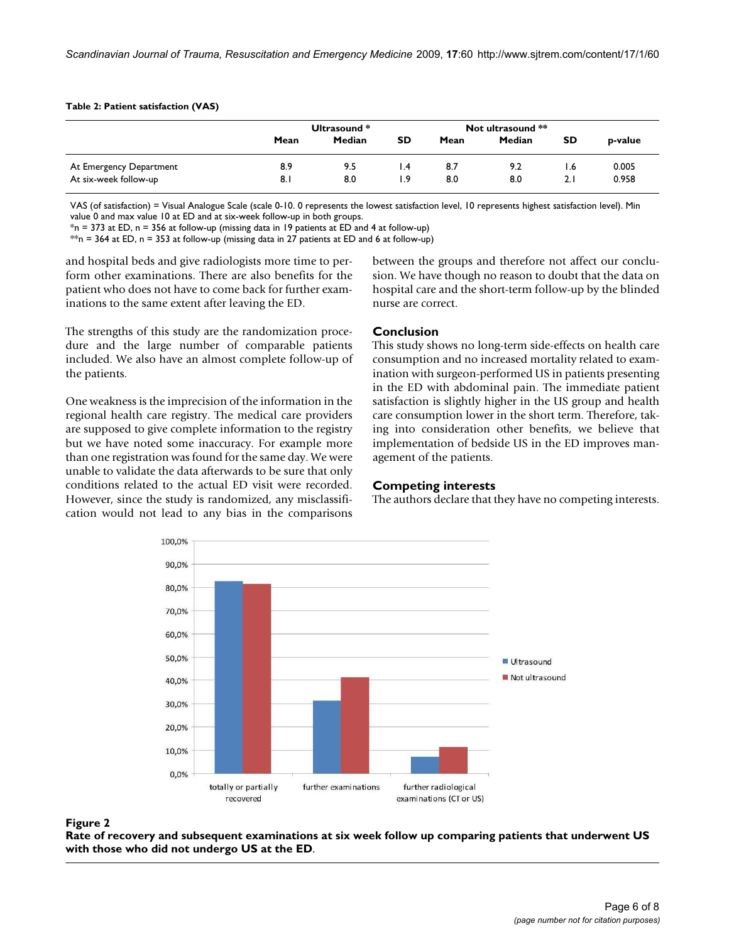#### **Table 2: Patient satisfaction (VAS)**

|                         |      | Ultrasound * |     |      | Not ultrasound ** |     |         |
|-------------------------|------|--------------|-----|------|-------------------|-----|---------|
|                         | Mean | Median       | SD  | Mean | Median            | SD  | p-value |
| At Emergency Department | 8.9  | 9.5          | l.4 | 8.7  | 9.2               | l.6 | 0.005   |
| At six-week follow-up   | 8.1  | 8.0          | 1.9 | 8.0  | 8.0               | 2.1 | 0.958   |

VAS (of satisfaction) = Visual Analogue Scale (scale 0-10. 0 represents the lowest satisfaction level, 10 represents highest satisfaction level). Min value 0 and max value 10 at ED and at six-week follow-up in both groups.

 $*$ n = 373 at ED, n = 356 at follow-up (missing data in 19 patients at ED and 4 at follow-up)

\*\*n = 364 at ED, n = 353 at follow-up (missing data in 27 patients at ED and 6 at follow-up)

and hospital beds and give radiologists more time to perform other examinations. There are also benefits for the patient who does not have to come back for further examinations to the same extent after leaving the ED.

The strengths of this study are the randomization procedure and the large number of comparable patients included. We also have an almost complete follow-up of the patients.

One weakness is the imprecision of the information in the regional health care registry. The medical care providers are supposed to give complete information to the registry but we have noted some inaccuracy. For example more than one registration was found for the same day. We were unable to validate the data afterwards to be sure that only conditions related to the actual ED visit were recorded. However, since the study is randomized, any misclassification would not lead to any bias in the comparisons

#### between the groups and therefore not affect our conclusion. We have though no reason to doubt that the data on hospital care and the short-term follow-up by the blinded nurse are correct.

#### **Conclusion**

This study shows no long-term side-effects on health care consumption and no increased mortality related to examination with surgeon-performed US in patients presenting in the ED with abdominal pain. The immediate patient satisfaction is slightly higher in the US group and health care consumption lower in the short term. Therefore, taking into consideration other benefits, we believe that implementation of bedside US in the ED improves management of the patients.

#### **Competing interests**

The authors declare that they have no competing interests.



#### Rate of recovery and subsequent did not undergo US at the ED **Figure 2** examinations at six week follow up comparing patients that underwent US with those who

**Rate of recovery and subsequent examinations at six week follow up comparing patients that underwent US with those who did not undergo US at the ED**.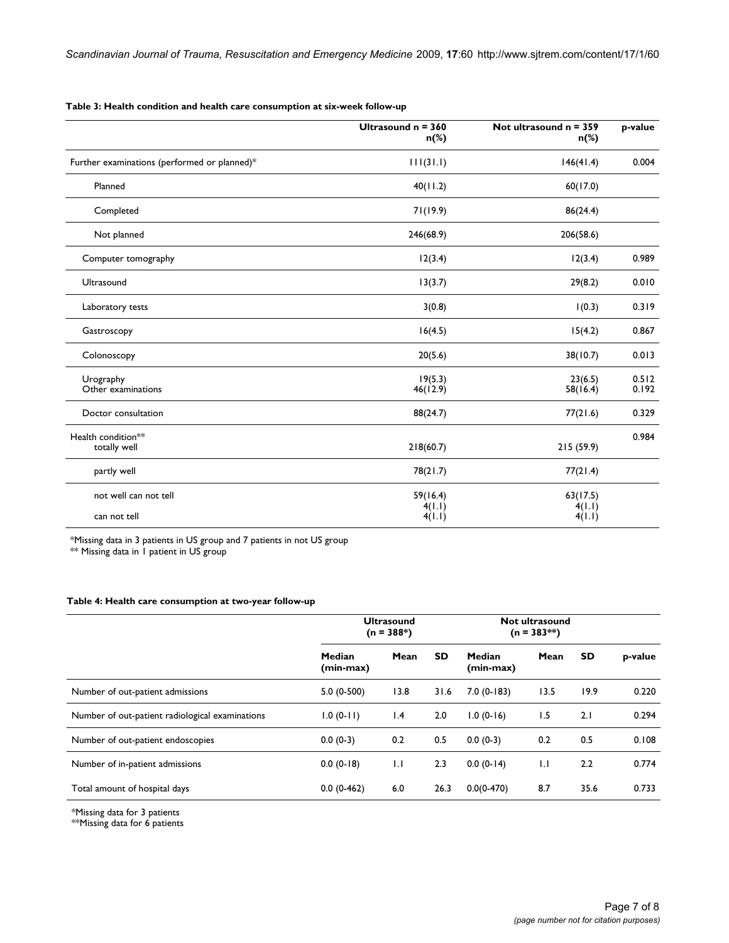**Table 3: Health condition and health care consumption at six-week follow-up**

|                                              | Ultrasound $n = 360$<br>n(%) | Not ultrasound $n = 359$<br>n(%) | p-value        |
|----------------------------------------------|------------------------------|----------------------------------|----------------|
| Further examinations (performed or planned)* | 111(31.1)                    | 146(41.4)                        | 0.004          |
| Planned                                      | 40(11.2)                     | 60(17.0)                         |                |
| Completed                                    | 71(19.9)                     | 86(24.4)                         |                |
| Not planned                                  | 246(68.9)                    | 206(58.6)                        |                |
| Computer tomography                          | 12(3.4)                      | 12(3.4)                          | 0.989          |
| Ultrasound                                   | 13(3.7)                      | 29(8.2)                          | 0.010          |
| Laboratory tests                             | 3(0.8)                       | 1(0.3)                           | 0.319          |
| Gastroscopy                                  | 16(4.5)                      | 15(4.2)                          | 0.867          |
| Colonoscopy                                  | 20(5.6)                      | 38(10.7)                         | 0.013          |
| Urography<br>Other examinations              | 19(5.3)<br>46(12.9)          | 23(6.5)<br>58(16.4)              | 0.512<br>0.192 |
| Doctor consultation                          | 88(24.7)                     | 77(21.6)                         | 0.329          |
| Health condition**<br>totally well           | 218(60.7)                    | 215 (59.9)                       | 0.984          |
| partly well                                  | 78(21.7)                     | 77(21.4)                         |                |
| not well can not tell                        | 59(16.4)                     | 63(17.5)<br>4(1.1)               |                |
| can not tell                                 | 4(1.1)<br>4(1.1)             | 4(1.1)                           |                |

\*Missing data in 3 patients in US group and 7 patients in not US group

\*\* Missing data in 1 patient in US group

### **Table 4: Health care consumption at two-year follow-up**

|                                                 | <b>Ultrasound</b><br>$(n = 388*)$ |      |           | Not ultrasound<br>$(n = 383**)$ |              |      |         |
|-------------------------------------------------|-----------------------------------|------|-----------|---------------------------------|--------------|------|---------|
|                                                 | Median<br>(min-max)               | Mean | <b>SD</b> | Median<br>(min-max)             | Mean         | SD   | p-value |
| Number of out-patient admissions                | $5.0(0-500)$                      | 13.8 | 31.6      | $7.0(0-183)$                    | 13.5         | 19.9 | 0.220   |
| Number of out-patient radiological examinations | $1.0(0-11)$                       | 1.4  | 2.0       | $1.0(0-16)$                     | 1.5          | 2.1  | 0.294   |
| Number of out-patient endoscopies               | $0.0(0-3)$                        | 0.2  | 0.5       | $0.0(0-3)$                      | 0.2          | 0.5  | 0.108   |
| Number of in-patient admissions                 | $0.0(0-18)$                       | 1.1  | 2.3       | $0.0(0-14)$                     | $\mathbf{L}$ | 2.2  | 0.774   |
| Total amount of hospital days                   | $0.0(0-462)$                      | 6.0  | 26.3      | $0.0(0-470)$                    | 8.7          | 35.6 | 0.733   |

\*Missing data for 3 patients

\*\*Missing data for 6 patients